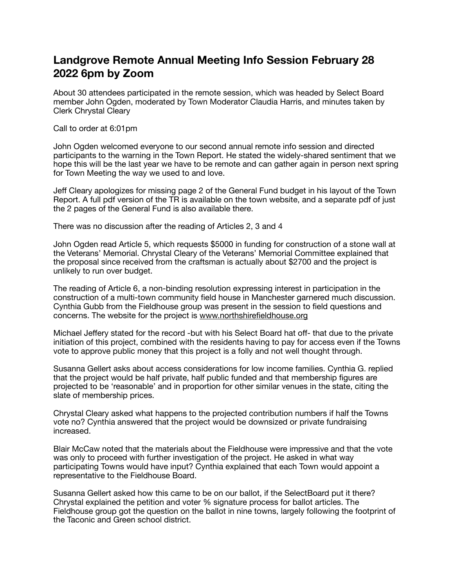## **Landgrove Remote Annual Meeting Info Session February 28 2022 6pm by Zoom**

About 30 attendees participated in the remote session, which was headed by Select Board member John Ogden, moderated by Town Moderator Claudia Harris, and minutes taken by Clerk Chrystal Cleary

Call to order at 6:01pm

John Ogden welcomed everyone to our second annual remote info session and directed participants to the warning in the Town Report. He stated the widely-shared sentiment that we hope this will be the last year we have to be remote and can gather again in person next spring for Town Meeting the way we used to and love.

Jeff Cleary apologizes for missing page 2 of the General Fund budget in his layout of the Town Report. A full pdf version of the TR is available on the town website, and a separate pdf of just the 2 pages of the General Fund is also available there.

There was no discussion after the reading of Articles 2, 3 and 4

John Ogden read Article 5, which requests \$5000 in funding for construction of a stone wall at the Veterans' Memorial. Chrystal Cleary of the Veterans' Memorial Committee explained that the proposal since received from the craftsman is actually about \$2700 and the project is unlikely to run over budget.

The reading of Article 6, a non-binding resolution expressing interest in participation in the construction of a multi-town community field house in Manchester garnered much discussion. Cynthia Gubb from the Fieldhouse group was present in the session to field questions and concerns. The website for the project is [www.northshirefieldhouse.org](http://www.northshirefieldhouse.org)

Michael Jeffery stated for the record -but with his Select Board hat off- that due to the private initiation of this project, combined with the residents having to pay for access even if the Towns vote to approve public money that this project is a folly and not well thought through.

Susanna Gellert asks about access considerations for low income families. Cynthia G. replied that the project would be half private, half public funded and that membership figures are projected to be 'reasonable' and in proportion for other similar venues in the state, citing the slate of membership prices.

Chrystal Cleary asked what happens to the projected contribution numbers if half the Towns vote no? Cynthia answered that the project would be downsized or private fundraising increased.

Blair McCaw noted that the materials about the Fieldhouse were impressive and that the vote was only to proceed with further investigation of the project. He asked in what way participating Towns would have input? Cynthia explained that each Town would appoint a representative to the Fieldhouse Board.

Susanna Gellert asked how this came to be on our ballot, if the SelectBoard put it there? Chrystal explained the petition and voter % signature process for ballot articles. The Fieldhouse group got the question on the ballot in nine towns, largely following the footprint of the Taconic and Green school district.